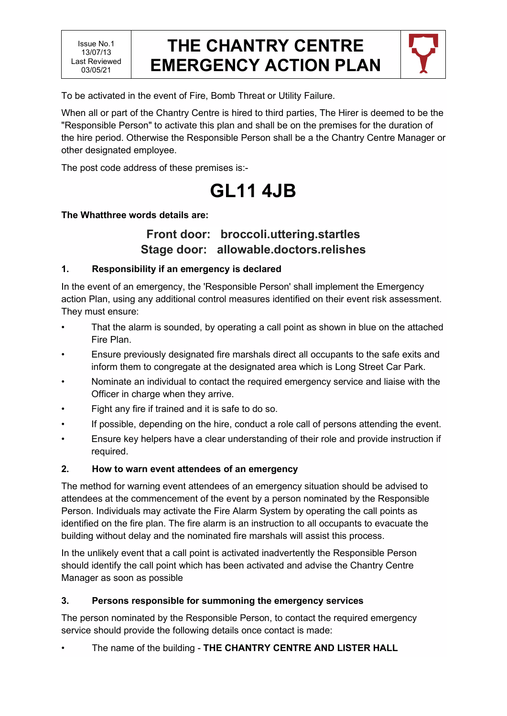### **THE CHANTRY CENTRE EMERGENCY ACTION PLAN**



To be activated in the event of Fire, Bomb Threat or Utility Failure.

When all or part of the Chantry Centre is hired to third parties, The Hirer is deemed to be the "Responsible Person" to activate this plan and shall be on the premises for the duration of the hire period. Otherwise the Responsible Person shall be a the Chantry Centre Manager or other designated employee.

The post code address of these premises is:-

# **GL11 4JB**

#### **The Whatthree words details are:**

### **Front door: broccoli.uttering.startles Stage door: allowable.doctors.relishes**

#### **1. Responsibility if an emergency is declared**

In the event of an emergency, the 'Responsible Person' shall implement the Emergency action Plan, using any additional control measures identified on their event risk assessment. They must ensure:

- That the alarm is sounded, by operating a call point as shown in blue on the attached Fire Plan.
- Ensure previously designated fire marshals direct all occupants to the safe exits and inform them to congregate at the designated area which is Long Street Car Park.
- Nominate an individual to contact the required emergency service and liaise with the Officer in charge when they arrive.
- Fight any fire if trained and it is safe to do so.
- If possible, depending on the hire, conduct a role call of persons attending the event.
- Ensure key helpers have a clear understanding of their role and provide instruction if required.

#### **2. How to warn event attendees of an emergency**

The method for warning event attendees of an emergency situation should be advised to attendees at the commencement of the event by a person nominated by the Responsible Person. Individuals may activate the Fire Alarm System by operating the call points as identified on the fire plan. The fire alarm is an instruction to all occupants to evacuate the building without delay and the nominated fire marshals will assist this process.

In the unlikely event that a call point is activated inadvertently the Responsible Person should identify the call point which has been activated and advise the Chantry Centre Manager as soon as possible

#### **3. Persons responsible for summoning the emergency services**

The person nominated by the Responsible Person, to contact the required emergency service should provide the following details once contact is made:

• The name of the building - **THE CHANTRY CENTRE AND LISTER HALL**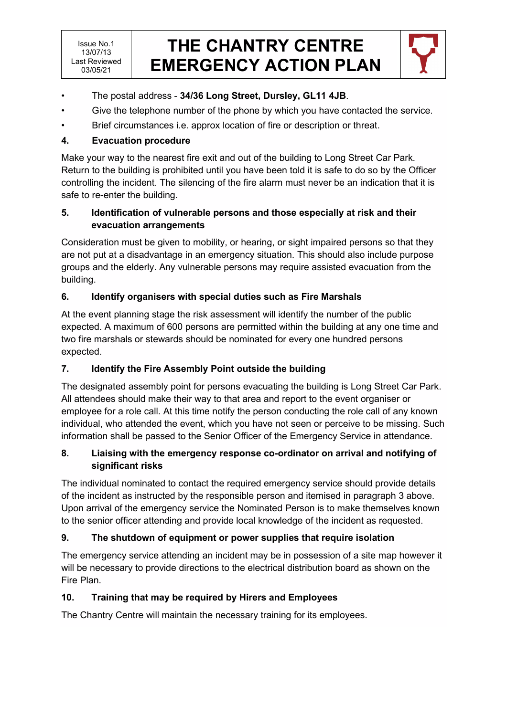## **THE CHANTRY CENTRE EMERGENCY ACTION PLAN**



- The postal address **34/36 Long Street, Dursley, GL11 4JB**.
- Give the telephone number of the phone by which you have contacted the service.
- Brief circumstances i.e. approx location of fire or description or threat.

#### **4. Evacuation procedure**

Make your way to the nearest fire exit and out of the building to Long Street Car Park. Return to the building is prohibited until you have been told it is safe to do so by the Officer controlling the incident. The silencing of the fire alarm must never be an indication that it is safe to re-enter the building.

#### **5. Identification of vulnerable persons and those especially at risk and their evacuation arrangements**

Consideration must be given to mobility, or hearing, or sight impaired persons so that they are not put at a disadvantage in an emergency situation. This should also include purpose groups and the elderly. Any vulnerable persons may require assisted evacuation from the building.

#### **6. Identify organisers with special duties such as Fire Marshals**

At the event planning stage the risk assessment will identify the number of the public expected. A maximum of 600 persons are permitted within the building at any one time and two fire marshals or stewards should be nominated for every one hundred persons expected.

#### **7. Identify the Fire Assembly Point outside the building**

The designated assembly point for persons evacuating the building is Long Street Car Park. All attendees should make their way to that area and report to the event organiser or employee for a role call. At this time notify the person conducting the role call of any known individual, who attended the event, which you have not seen or perceive to be missing. Such information shall be passed to the Senior Officer of the Emergency Service in attendance.

#### **8. Liaising with the emergency response co-ordinator on arrival and notifying of significant risks**

The individual nominated to contact the required emergency service should provide details of the incident as instructed by the responsible person and itemised in paragraph 3 above. Upon arrival of the emergency service the Nominated Person is to make themselves known to the senior officer attending and provide local knowledge of the incident as requested.

### **9. The shutdown of equipment or power supplies that require isolation**

The emergency service attending an incident may be in possession of a site map however it will be necessary to provide directions to the electrical distribution board as shown on the Fire Plan.

#### **10. Training that may be required by Hirers and Employees**

The Chantry Centre will maintain the necessary training for its employees.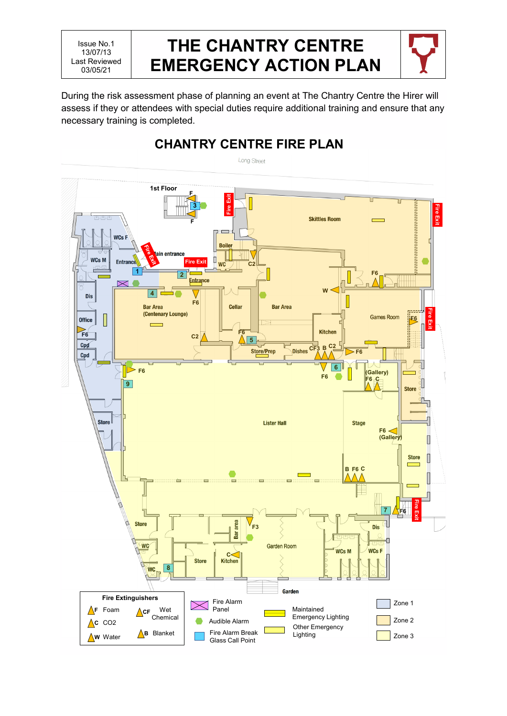Issue No.1 13/07/13 Last Reviewed 03/05/21

### **THE CHANTRY CENTRE EMERGENCY ACTION PLAN**



During the risk assessment phase of planning an event at The Chantry Centre the Hirer will assess if they or attendees with special duties require additional training and ensure that any necessary training is completed.

**CHANTRY CENTRE FIRE PLAN**

#### Long Street **1st Floor F Fire Exit** 医皮肤发生性皮肤发生性皮肤发生性皮肤发生性皮肤发生性皮肤炎 **3 Fire Exit** Fire Exi **Skittles Room** É **F**  $WCs$  F **Boile** in entrance WCs M Л **Entran Fire Exit**  $wc$ **C2** Е **<sup>1</sup> <sup>2</sup> F6** Entrance  $\boxtimes$ **4 W Dis F6 Bar Area** Cellar **Bar Area Fire Exit** (Centenary Lounge)  $\overline{\phantom{a}}$ **Games Room** Office **F6** ğ  $\overline{\phantom{0}}$ **Kitchen F6 F6 C2 5**  $Cpd$ **Dishes** CF<sub>3</sub><sup>B</sup> **C2** Store/Prep **F6** Cpd **6 F6 (Gallery) F6 B F6 9 Store Store Lister Hall Stage F6 (Gallery) Store** I Г **F6 B C** A **Fire Exit 7 F6** H area **Store** Dis **F3** Bar ᢉᡪ **WC Garden Room** H .<br>WCs M **WCsF C**<br>Kitchen **Store WC 8** Garden **Fire Extinguishers** Fire Alarm Zone 1 Panel **F** Foam **CF** Wet Maintained Chemical Emergency Lighting Audible Alarm Zone 2  $\Lambda$ c CO<sub>2</sub> Other Emergency **B** Blanket Fire Alarm Break Lighting Zone 3**W** Water Glass Call Point